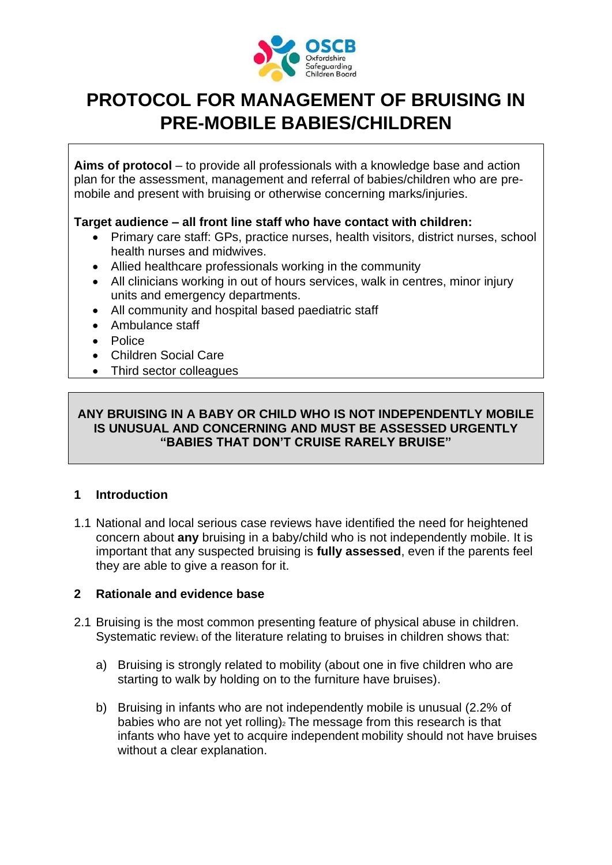

# **PROTOCOL FOR MANAGEMENT OF BRUISING IN PRE-MOBILE BABIES/CHILDREN**

**Aims of protocol** – to provide all professionals with a knowledge base and action plan for the assessment, management and referral of babies/children who are premobile and present with bruising or otherwise concerning marks/injuries.

#### **Target audience – all front line staff who have contact with children:**

- Primary care staff: GPs, practice nurses, health visitors, district nurses, school health nurses and midwives.
- Allied healthcare professionals working in the community
- All clinicians working in out of hours services, walk in centres, minor injury units and emergency departments.
- All community and hospital based paediatric staff
- Ambulance staff
- Police
- Children Social Care
- Third sector colleagues

#### **ANY BRUISING IN A BABY OR CHILD WHO IS NOT INDEPENDENTLY MOBILE IS UNUSUAL AND CONCERNING AND MUST BE ASSESSED URGENTLY "BABIES THAT DON'T CRUISE RARELY BRUISE"**

## **1 Introduction**

1.1 National and local serious case reviews have identified the need for heightened concern about **any** bruising in a baby/child who is not independently mobile. It is important that any suspected bruising is **fully assessed**, even if the parents feel they are able to give a reason for it.

#### **2 Rationale and evidence base**

- 2.1 Bruising is the most common presenting feature of physical abuse in children. Systematic review<sub>1</sub> of the literature relating to bruises in children shows that:
	- a) Bruising is strongly related to mobility (about one in five children who are starting to walk by holding on to the furniture have bruises).
	- b) Bruising in infants who are not independently mobile is unusual (2.2% of babies who are not yet rolling) $2$  The message from this research is that infants who have yet to acquire independent mobility should not have bruises without a clear explanation.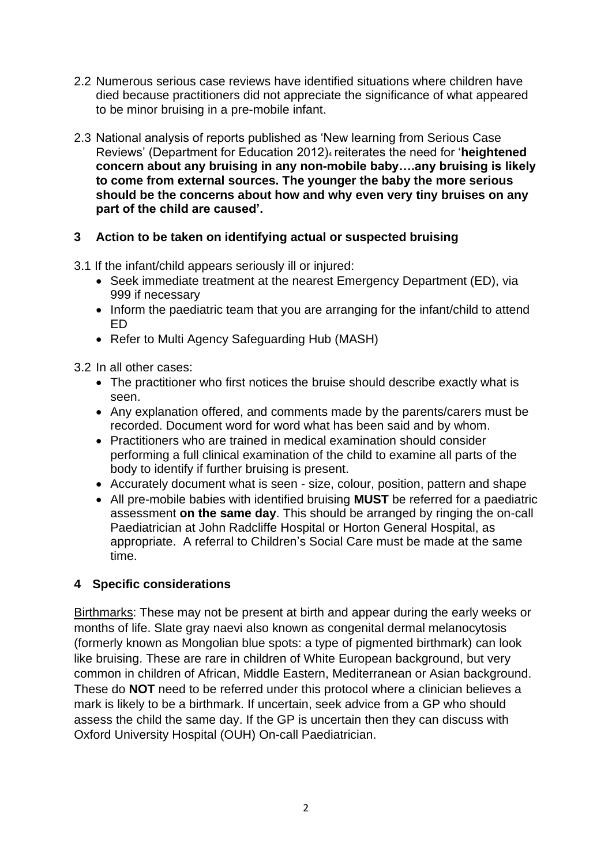- 2.2 Numerous serious case reviews have identified situations where children have died because practitioners did not appreciate the significance of what appeared to be minor bruising in a pre-mobile infant.
- 2.3 National analysis of reports published as 'New learning from Serious Case Reviews' (Department for Education 2012)<sup>4</sup> reiterates the need for '**heightened concern about any bruising in any non-mobile baby….any bruising is likely to come from external sources. The younger the baby the more serious should be the concerns about how and why even very tiny bruises on any part of the child are caused'.**

## **3 Action to be taken on identifying actual or suspected bruising**

3.1 If the infant/child appears seriously ill or injured:

- Seek immediate treatment at the nearest Emergency Department (ED), via 999 if necessary
- Inform the paediatric team that you are arranging for the infant/child to attend ED
- Refer to Multi Agency Safeguarding Hub (MASH)

3.2 In all other cases:

- The practitioner who first notices the bruise should describe exactly what is seen.
- Any explanation offered, and comments made by the parents/carers must be recorded. Document word for word what has been said and by whom.
- Practitioners who are trained in medical examination should consider performing a full clinical examination of the child to examine all parts of the body to identify if further bruising is present.
- Accurately document what is seen size, colour, position, pattern and shape
- All pre-mobile babies with identified bruising **MUST** be referred for a paediatric assessment **on the same day**. This should be arranged by ringing the on-call Paediatrician at John Radcliffe Hospital or Horton General Hospital, as appropriate. A referral to Children's Social Care must be made at the same time.

## **4 Specific considerations**

Birthmarks: These may not be present at birth and appear during the early weeks or months of life. Slate gray naevi also known as congenital dermal melanocytosis (formerly known as Mongolian blue spots: a type of pigmented birthmark) can look like bruising. These are rare in children of White European background, but very common in children of African, Middle Eastern, Mediterranean or Asian background. These do **NOT** need to be referred under this protocol where a clinician believes a mark is likely to be a birthmark. If uncertain, seek advice from a GP who should assess the child the same day. If the GP is uncertain then they can discuss with Oxford University Hospital (OUH) On-call Paediatrician.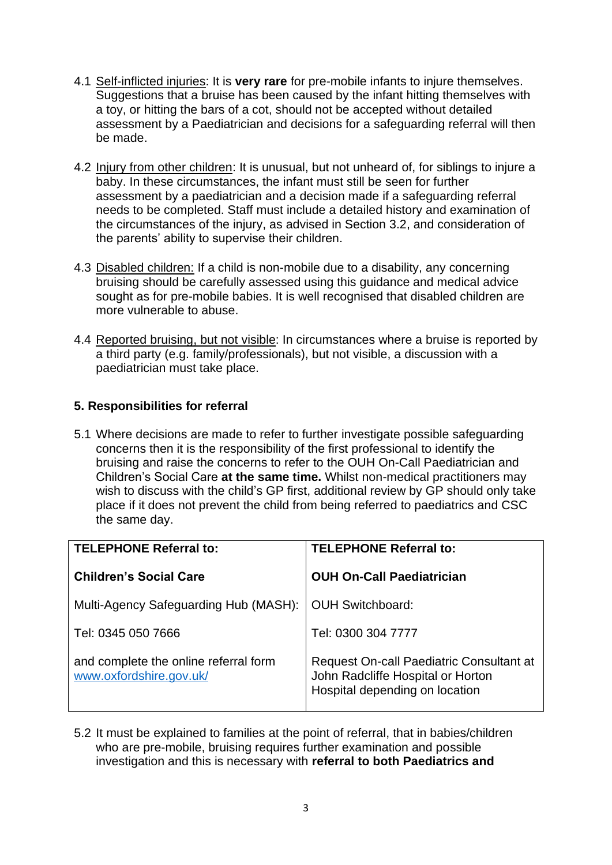- 4.1 Self-inflicted injuries: It is **very rare** for pre-mobile infants to injure themselves. Suggestions that a bruise has been caused by the infant hitting themselves with a toy, or hitting the bars of a cot, should not be accepted without detailed assessment by a Paediatrician and decisions for a safeguarding referral will then be made.
- 4.2 Injury from other children: It is unusual, but not unheard of, for siblings to injure a baby. In these circumstances, the infant must still be seen for further assessment by a paediatrician and a decision made if a safeguarding referral needs to be completed. Staff must include a detailed history and examination of the circumstances of the injury, as advised in Section 3.2, and consideration of the parents' ability to supervise their children.
- 4.3 Disabled children: If a child is non-mobile due to a disability, any concerning bruising should be carefully assessed using this guidance and medical advice sought as for pre-mobile babies. It is well recognised that disabled children are more vulnerable to abuse.
- 4.4 Reported bruising, but not visible: In circumstances where a bruise is reported by a third party (e.g. family/professionals), but not visible, a discussion with a paediatrician must take place.

## **5. Responsibilities for referral**

5.1 Where decisions are made to refer to further investigate possible safeguarding concerns then it is the responsibility of the first professional to identify the bruising and raise the concerns to refer to the OUH On-Call Paediatrician and Children's Social Care **at the same time.** Whilst non-medical practitioners may wish to discuss with the child's GP first, additional review by GP should only take place if it does not prevent the child from being referred to paediatrics and CSC the same day.

| <b>TELEPHONE Referral to:</b>                                    | <b>TELEPHONE Referral to:</b>                                                                                   |
|------------------------------------------------------------------|-----------------------------------------------------------------------------------------------------------------|
| <b>Children's Social Care</b>                                    | <b>OUH On-Call Paediatrician</b>                                                                                |
| Multi-Agency Safeguarding Hub (MASH):                            | <b>OUH Switchboard:</b>                                                                                         |
| Tel: 0345 050 7666                                               | Tel: 0300 304 7777                                                                                              |
| and complete the online referral form<br>www.oxfordshire.gov.uk/ | Request On-call Paediatric Consultant at<br>John Radcliffe Hospital or Horton<br>Hospital depending on location |

5.2 It must be explained to families at the point of referral, that in babies/children who are pre-mobile, bruising requires further examination and possible investigation and this is necessary with **referral to both Paediatrics and**